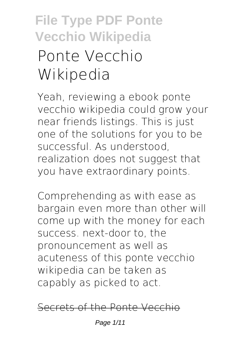# **File Type PDF Ponte Vecchio Wikipedia Ponte Vecchio Wikipedia**

Yeah, reviewing a ebook **ponte vecchio wikipedia** could grow your near friends listings. This is just one of the solutions for you to be successful. As understood, realization does not suggest that you have extraordinary points.

Comprehending as with ease as bargain even more than other will come up with the money for each success. next-door to, the pronouncement as well as acuteness of this ponte vecchio wikipedia can be taken as capably as picked to act.

#### Secrets of the Ponte Vecchio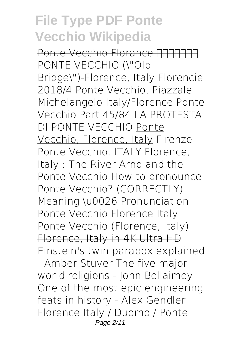Ponte Vecchio Florance <u>חחחחח</u> *PONTE VECCHIO (\"Old Bridge\")-Florence, Italy* Florencie 2018/4 Ponte Vecchio, Piazzale Michelangelo *Italy/Florence Ponte Vecchio Part 45/84* LA PROTESTA DI PONTE VECCHIO Ponte Vecchio, Florence, Italy *Firenze Ponte Vecchio, ITALY Florence, Italy : The River Arno and the Ponte Vecchio How to pronounce Ponte Vecchio? (CORRECTLY) Meaning \u0026 Pronunciation* **Ponte Vecchio Florence Italy** *Ponte Vecchio (Florence, Italy)* Florence, Italy in 4K Ultra HD Einstein's twin paradox explained - Amber Stuver **The five major world religions - John Bellaimey** One of the most epic engineering feats in history - Alex Gendler *Florence Italy / Duomo / Ponte* Page 2/11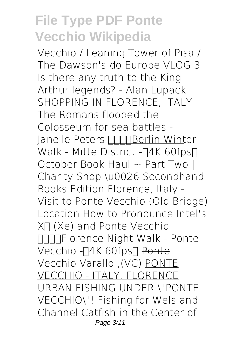*Vecchio / Leaning Tower of Pisa / The Dawson's do Europe VLOG 3* **Is there any truth to the King Arthur legends? - Alan Lupack** SHOPPING IN FLORENCE, ITALY The Romans flooded the Colosseum for sea battles - Janelle Peters **BERGIER** Winter Walk - Mitte District - [4K 60fps] *October Book Haul ~ Part Two | Charity Shop \u0026 Secondhand Books Edition* Florence, Italy - Visit to Ponte Vecchio (Old Bridge) Location How to Pronounce Intel's Xᵉ (Xe) and Ponte Vecchio Florence Night Walk - Ponte Vecchio -∏4K 60fps∏ <del>Ponte</del> Vecchio Varallo ,(VC) PONTE VECCHIO - ITALY, FLORENCE *URBAN FISHING UNDER \"PONTE VECCHIO\"! Fishing for Wels and Channel Catfish in the Center of* Page 3/11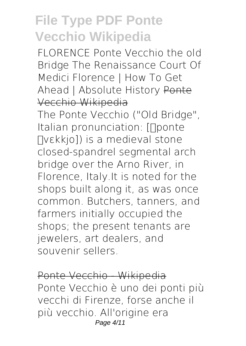*FLORENCE Ponte Vecchio the old Bridge The Renaissance Court Of Medici Florence | How To Get Ahead | Absolute History* Ponte Vecchio Wikipedia

The Ponte Vecchio ("Old Bridge", Italian pronunciation: [noonte Πνεkkio]) is a medieval stone closed-spandrel segmental arch bridge over the Arno River, in Florence, Italy.It is noted for the shops built along it, as was once common. Butchers, tanners, and farmers initially occupied the shops; the present tenants are jewelers, art dealers, and souvenir sellers.

Ponte Vecchio - Wikipedia Ponte Vecchio è uno dei ponti più vecchi di Firenze, forse anche il più vecchio. All'origine era Page 4/11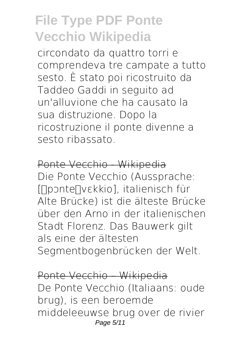circondato da quattro torri e comprendeva tre campate a tutto sesto. È stato poi ricostruito da Taddeo Gaddi in seguito ad un'alluvione che ha causato la sua distruzione. Dopo la ricostruzione il ponte divenne a sesto ribassato.

Ponte Vecchio - Wikipedia Die Ponte Vecchio (Aussprache: [ΠροnteΠνεkkio], italienisch für Alte Brücke) ist die älteste Brücke über den Arno in der italienischen Stadt Florenz. Das Bauwerk gilt als eine der ältesten Segmentbogenbrücken der Welt.

Ponte Vecchio – Wikipedia De Ponte Vecchio (Italiaans: oude brug), is een beroemde middeleeuwse brug over de rivier Page 5/11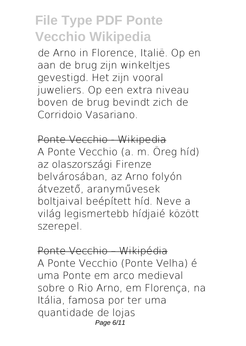de Arno in Florence, Italië. Op en aan de brug zijn winkeltjes gevestigd. Het zijn vooral juweliers. Op een extra niveau boven de brug bevindt zich de Corridoio Vasariano.

Ponte Vecchio - Wikipedia A Ponte Vecchio (a. m. Öreg híd) az olaszországi Firenze belvárosában, az Arno folyón átvezető, aranyművesek boltjaival beépített híd. Neve a világ legismertebb hídjaié között szerepel.

Ponte Vecchio – Wikipédia A Ponte Vecchio (Ponte Velha) é uma Ponte em arco medieval sobre o Rio Arno, em Florença, na Itália, famosa por ter uma quantidade de lojas Page 6/11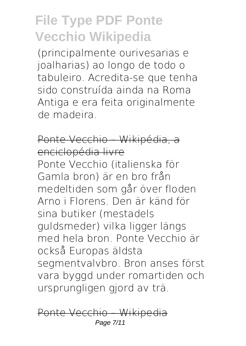(principalmente ourivesarias e joalharias) ao longo de todo o tabuleiro. Acredita-se que tenha sido construída ainda na Roma Antiga e era feita originalmente de madeira.

### Ponte Vecchio – Wikipédia, a enciclopédia livre

Ponte Vecchio (italienska för Gamla bron) är en bro från medeltiden som går över floden Arno i Florens. Den är känd för sina butiker (mestadels guldsmeder) vilka ligger längs med hela bron. Ponte Vecchio är också Europas äldsta segmentvalvbro. Bron anses först vara byggd under romartiden och ursprungligen gjord av trä.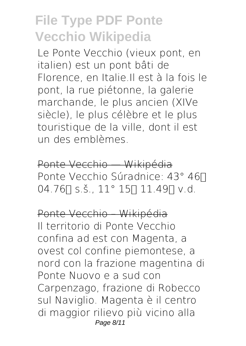Le Ponte Vecchio (vieux pont, en italien) est un pont bâti de Florence, en Italie.Il est à la fois le pont, la rue piétonne, la galerie marchande, le plus ancien (XIVe siècle), le plus célèbre et le plus touristique de la ville, dont il est un des emblèmes.

Ponte Vecchio — Wikipédia Ponte Vecchio Súradnice: 43° 46∏  $04.76$  s.š.,  $11^{\circ}$  15  $11.49$  v.d.

Ponte Vecchio – Wikipédia Il territorio di Ponte Vecchio confina ad est con Magenta, a ovest col confine piemontese, a nord con la frazione magentina di Ponte Nuovo e a sud con Carpenzago, frazione di Robecco sul Naviglio. Magenta è il centro di maggior rilievo più vicino alla Page 8/11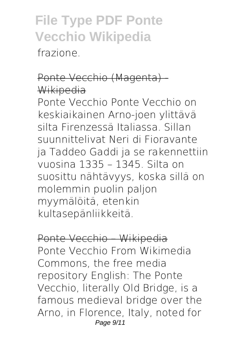frazione.

#### Ponte Vecchio (Magenta) - Wikipedia

Ponte Vecchio Ponte Vecchio on keskiaikainen Arno-joen ylittävä silta Firenzessä Italiassa. Sillan suunnittelivat Neri di Fioravante ja Taddeo Gaddi ja se rakennettiin vuosina 1335 – 1345. Silta on suosittu nähtävyys, koska sillä on molemmin puolin paljon myymälöitä, etenkin kultasepänliikkeitä.

Ponte Vecchio – Wikipedia Ponte Vecchio From Wikimedia Commons, the free media repository English: The Ponte Vecchio, literally Old Bridge, is a famous medieval bridge over the Arno, in Florence, Italy, noted for Page 9/11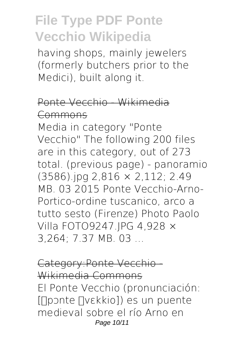having shops, mainly jewelers (formerly butchers prior to the Medici), built along it.

### Ponte Vecchio - Wikimedia Commons

Media in category "Ponte Vecchio" The following 200 files are in this category, out of 273 total. (previous page) - panoramio (3586).jpg 2,816 × 2,112; 2.49 MB. 03 2015 Ponte Vecchio-Arno-Portico-ordine tuscanico, arco a tutto sesto (Firenze) Photo Paolo Villa FOTO9247.JPG 4,928 × 3,264; 7.37 MB. 03 ...

Category:Ponte Vecchio - Wikimedia Commons El Ponte Vecchio (pronunciación: [[pɔnte [vɛkkio]) es un puente medieval sobre el río Arno en Page 10/11